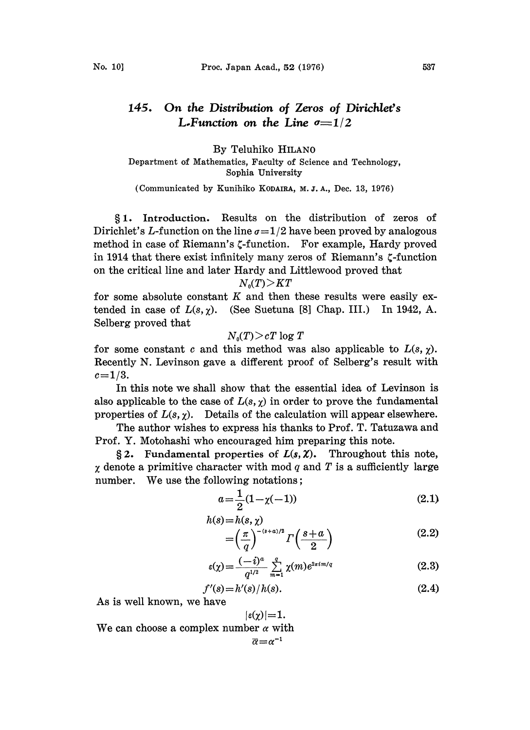## 145. On the Distribution of Zeros of Dirichlet's L-Function on the Line  $\sigma=1/2$

By Teluhiko HILAN0 Department of Mathematics, Faculty of Science and Technology, Sophia University

(Communicated by Kunihiko KODAIRA, M. J. A., Dec. 13, 1976)

1. Introduction. Results on the distribution of zeros of Dirichlet's L-function on the line  $\sigma=1/2$  have been proved by analogous method in case of Riemann's  $\zeta$ -function. For example, Hardy proved in 1914 that there exist infinitely many zeros of Riemann's  $\zeta$ -function on the critical line and later Hardy and Littlewood proved that

## $N_0(T)$   $\geq$   $KT$

for some absolute constant  $K$  and then these results were easily extended in case of  $L(s, \chi)$ . (See Suetuna [8] Chap. III.) In 1942, A. Selberg proved that

$$
N_{\scriptscriptstyle 0}(T)\!>\!cT\log T
$$

for some constant c and this method was also applicable to  $L(s, \gamma)$ . Recently N. Levinson gave a different proof of Selberg's result with  $c=1/3$ .

In this note we shall show that the essential idea of Levinson is also applicable to the case of  $L(s, \gamma)$  in order to prove the fundamental properties of  $L(s, \chi)$ . Details of the calculation will appear elsewhere.

The author wishes to express his thanks to Prof. T. Tatuzawa and Prof. Y. Motohashi who encouraged him preparing this note.

§2. Fundamental properties of  $L(s, \chi)$ . Throughout this note,  $\chi$  denote a primitive character with mod q and T is a sufficiently large number. We use the following notations;

$$
a = \frac{1}{2}(1 - \chi(-1))
$$
 (2.1)

$$
h(s) = h(s, \chi)
$$
  
=  $\left(\frac{\pi}{q}\right)^{-(s+a)/2} \Gamma\left(\frac{s+a}{2}\right)$  (2.2)

$$
\varepsilon(\chi) = \frac{(-i)^a}{q^{1/2}} \sum_{m=1}^q \chi(m) e^{2\pi i m/q}
$$
 (2.3)

$$
f'(s) = h'(s)/h(s).
$$
 (2.4)

As is well known, we have

We can choose a complex number 
$$
\alpha
$$
 with  $\overline{\alpha} = \alpha^{-1}$ .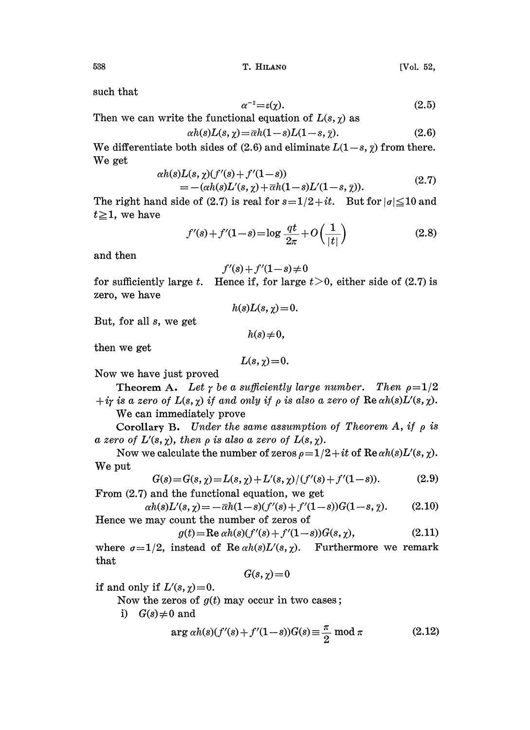such that

$$
\alpha^{-2} = \varepsilon(\chi). \tag{2.5}
$$

Then we can write the functional equation of 
$$
L(s, \chi)
$$
 as

$$
\alpha h(s)L(s,\chi) = \overline{\alpha}h(1-s)L(1-s,\overline{\chi}).\tag{2.6}
$$

We differentiate both sides of (2.6) and eliminate  $L(1-s, \bar{\gamma})$  from there. We get

$$
\alpha h(s)L(s, \chi)(f'(s) + f'(1-s)) = -(\alpha h(s)L'(s, \chi) + \bar{\alpha}h(1-s)L'(1-s, \bar{\chi})).
$$
\n(2.7)

The right hand side of (2.7) is real for  $s=1/2+it$ . But for  $|\sigma| \leq 10$  and  $t \geq 1$ , we have

$$
f'(s) + f'(1-s) = \log \frac{qt}{2\pi} + O\left(\frac{1}{|t|}\right)
$$
 (2.8)

and then

$$
f'(s) + f'(1-s) \neq 0
$$

 $\frac{1}{|t|}$  (2.8)<br>0, either side of (2.7) is for sufficiently large t. Hence if, for large  $t>0$ , either side of (2.7) is zero, we have  $h(s)L(s, \gamma) = 0.$ 

But, for all s, we get

 $h(s) \neq 0,$ 

then we get

$$
L(s,\chi)=0.
$$

Now we have just proved

Theorem A. Let  $\gamma$  be a sufficiently large number. Then  $\rho=1/2$ .  $+i\gamma$  is a zero of  $L(s, \chi)$  if and only if  $\rho$  is also a zero of  $\text{Re }\alpha h(s)L'(s, \chi)$ .

We can immediately prove

Corollary B. Under the same assumption of Theorem A, if  $\rho$  is a zero of  $L'(s, \chi)$ , then  $\rho$  is also a zero of  $L(s, \chi)$ .

Now we calculate the number of zeros  $\rho = 1/2 + it$  of  $\text{Re } \alpha h(s) L'(s, \chi)$ . We put

$$
G(s) = G(s, \chi) = L(s, \chi) + L'(s, \chi) / (f'(s) + f'(1 - s)).
$$
\n(2.9)

From (2.7) and the functional equation, we get

$$
\alpha h(s)L'(s,\chi) = -\bar{\alpha}h(1-s)(f'(s) + f'(1-s))G(1-s,\bar{\chi}).
$$
\n(2.10)

Hence we may count the number of zeros of

$$
g(t) = \text{Re}\,\alpha h(s)(f'(s) + f'(1-s))G(s, \chi),\tag{2.11}
$$

where  $\sigma=1/2$ , instead of Re  $\alpha h(s)L'(s,\chi)$ . Furthermore we remark that

$$
G(s,\chi)\!=\!0
$$

if and only if  $L'(s, \chi) = 0$ .

Now the zeros of  $g(t)$  may occur in two cases;

i)  $G(s) \neq 0$  and

$$
\arg \alpha h(s)(f'(s) + f'(1-s))G(s) \equiv \frac{\pi}{2} \mod \pi \tag{2.12}
$$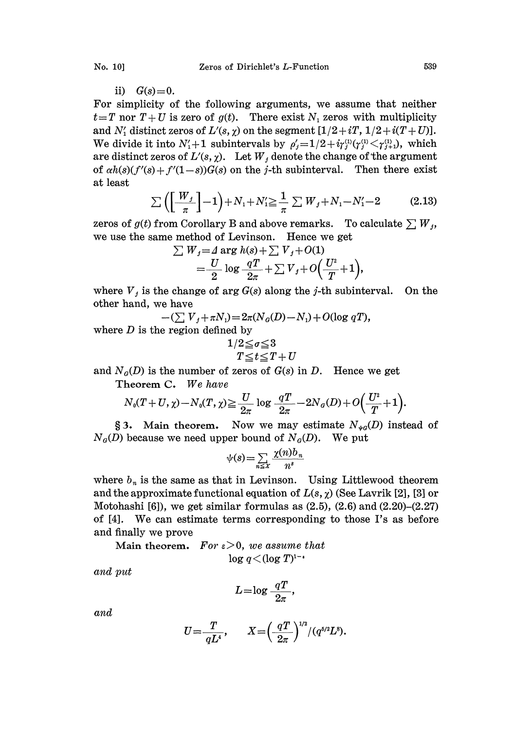$$
ii) \tG(s)=0.
$$

For simplicity of the following arguments, we assume that neither  $t=T$  nor  $T+U$  is zero of  $g(t)$ . There exist  $N<sub>1</sub>$  zeros with multiplicity and  $N'_1$  distinct zeros of  $L'(s, \chi)$  on the segment  $[1/2+iT, 1/2+i(T+ U)].$ We divide it into  $N_1' + 1$  subintervals by  $\rho'_{i} = 1/2 + i\gamma_{i}^{(1)}(\gamma_{i}^{(1)} < \gamma_{i+1}^{(1)})$ , which are distinct zeros of  $L'(s, \chi)$ . Let  $W_i$  denote the change of the argument of  $\alpha h(s)(f'(s) + f'(1-s))G(s)$  on the *j*-th subinterval. Then there exist at least

$$
\sum \left( \left[ \frac{W_j}{\pi} \right] - 1 \right) + N_1 + N_2' \geq \frac{1}{\pi} \sum W_j + N_1 - N_1' - 2 \tag{2.13}
$$

zeros of  $g(t)$  from Corollary B and above remarks. To calculate  $\sum W_i$ , we use the same method of Levinson. Hence we get<br>  $\sum W_j = A \arg h(s) + \sum V_j + O(1)$ 

$$
\sum W_j = \Delta \arg h(s) + \sum V_j + O(1)
$$
  
=  $\frac{U}{2} \log \frac{qT}{2\pi} + \sum V_j + O\left(\frac{U^2}{T} + 1\right),$ 

where  $V_j$  is the change of arg  $G(s)$  along the j-th subinterval. On the other hand, we have

 $-(\sum V_i + \pi N_i) = 2\pi (N_a(D) - N_i) + O(\log qT),$ 

where  $D$  is the region defined by

$$
1/2 \leq \sigma \leq 3\nT \leq t \leq T + U
$$

and  $N<sub>g</sub>(D)$  is the number of zeros of  $G(s)$  in D. Hence we get Theorem C. We have

$$
N_0(T+U,\chi)-N_0(T,\chi)\geqq \frac{U}{2\pi}\log\frac{qT}{2\pi}-2N_\sigma(D)+O\Big(\frac{U^2}{T}+1\Big).
$$

§3. Main theorem. Now we may estimate  $N_{\psi q}(D)$  instead of  $N<sub>g</sub>(D)$  because we need upper bound of  $N<sub>g</sub>(D)$ . We put

$$
\psi(s) = \sum_{n \leq x} \frac{\chi(n) b_n}{n^s}
$$

where  $b_n$  is the same as that in Levinson. Using Littlewood theorem and the approximate functional equation of  $L(s, \chi)$  (See Lavrik [2], [3] or Motohashi [6]), we get similar formulas as  $(2.5)$ ,  $(2.6)$  and  $(2.20)$ – $(2.27)$ of [4]. We can estimate terms corresponding to those I's as before and finally we prove

Main theorem. For  $\varepsilon > 0$ , we assume that  $\log q < (\log T)^{1-\epsilon}$ 

and put

$$
L = \log \frac{qT}{2\pi},
$$

and

$$
U = \frac{T}{qL^4}, \qquad X = \left(\frac{qT}{2\pi}\right)^{1/2} / (q^{5/2}L^8).
$$